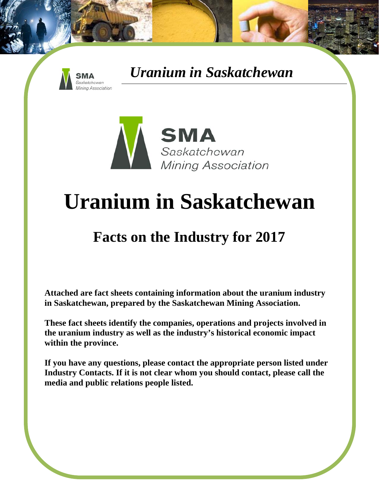



# **Uranium in Saskatchewan**

## **Facts on the Industry for 2017**

**Attached are fact sheets containing information about the uranium industry in Saskatchewan, prepared by the Saskatchewan Mining Association.** 

**These fact sheets identify the companies, operations and projects involved in the uranium industry as well as the industry's historical economic impact within the province.** 

**If you have any questions, please contact the appropriate person listed under Industry Contacts. If it is not clear whom you should contact, please call the media and public relations people listed.**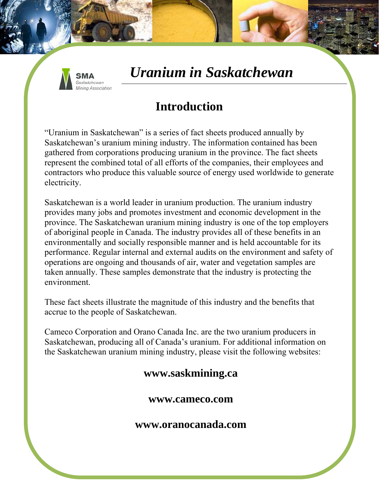

### **Introduction**

"Uranium in Saskatchewan" is a series of fact sheets produced annually by Saskatchewan's uranium mining industry. The information contained has been gathered from corporations producing uranium in the province. The fact sheets represent the combined total of all efforts of the companies, their employees and contractors who produce this valuable source of energy used worldwide to generate electricity.

Saskatchewan is a world leader in uranium production. The uranium industry provides many jobs and promotes investment and economic development in the province. The Saskatchewan uranium mining industry is one of the top employers of aboriginal people in Canada. The industry provides all of these benefits in an environmentally and socially responsible manner and is held accountable for its performance. Regular internal and external audits on the environment and safety of operations are ongoing and thousands of air, water and vegetation samples are taken annually. These samples demonstrate that the industry is protecting the environment.

These fact sheets illustrate the magnitude of this industry and the benefits that accrue to the people of Saskatchewan.

Cameco Corporation and Orano Canada Inc. are the two uranium producers in Saskatchewan, producing all of Canada's uranium. For additional information on the Saskatchewan uranium mining industry, please visit the following websites:

#### **www.saskmining.ca**

**www.cameco.com** 

**www.oranocanada.com**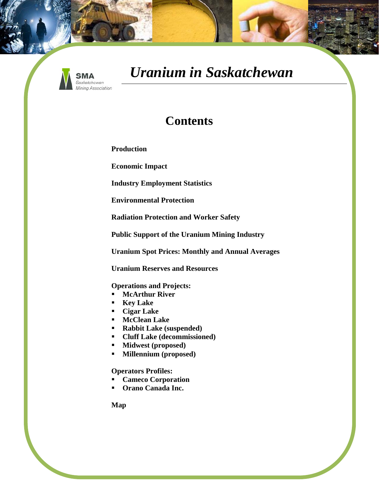

#### **Contents**

**Production** 

**Economic Impact** 

**Industry Employment Statistics** 

**Environmental Protection** 

**Radiation Protection and Worker Safety** 

**Public Support of the Uranium Mining Industry** 

**Uranium Spot Prices: Monthly and Annual Averages** 

**Uranium Reserves and Resources** 

**Operations and Projects:** 

- **McArthur River**
- **Key Lake**
- **Cigar Lake**
- **McClean Lake**
- **Rabbit Lake (suspended)**
- **Cluff Lake (decommissioned)**
- **Midwest (proposed)**
- **Millennium (proposed)**

#### **Operators Profiles:**

- **Cameco Corporation**
- **Orano Canada Inc.**

**Map**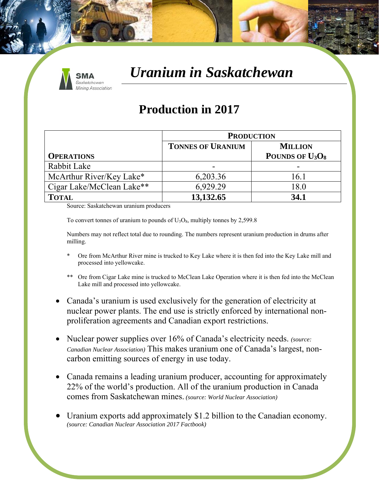

#### **Production in 2017**

|                           | <b>PRODUCTION</b>        |                    |
|---------------------------|--------------------------|--------------------|
|                           | <b>TONNES OF URANIUM</b> | <b>MILLION</b>     |
| <b>OPERATIONS</b>         |                          | POUNDS OF $U_3O_8$ |
| Rabbit Lake               | -                        |                    |
| McArthur River/Key Lake*  | 6,203.36                 | 16.1               |
| Cigar Lake/McClean Lake** | 6,929.29                 | 18.0               |
| <b>TOTAL</b>              | 13,132.65                | 34.1               |

Source: Saskatchewan uranium producers

To convert tonnes of uranium to pounds of  $U_3O_8$ , multiply tonnes by 2,599.8

Numbers may not reflect total due to rounding. The numbers represent uranium production in drums after milling.

- Ore from McArthur River mine is trucked to Key Lake where it is then fed into the Key Lake mill and processed into yellowcake.
- \*\* Ore from Cigar Lake mine is trucked to McClean Lake Operation where it is then fed into the McClean Lake mill and processed into yellowcake.
- Canada's uranium is used exclusively for the generation of electricity at nuclear power plants. The end use is strictly enforced by international nonproliferation agreements and Canadian export restrictions.
- Nuclear power supplies over 16% of Canada's electricity needs. *(source: Canadian Nuclear Association)* This makes uranium one of Canada's largest, noncarbon emitting sources of energy in use today.
- Canada remains a leading uranium producer, accounting for approximately 22% of the world's production. All of the uranium production in Canada comes from Saskatchewan mines. *(source: World Nuclear Association)*
- Uranium exports add approximately \$1.2 billion to the Canadian economy. *(source: Canadian Nuclear Association 2017 Factbook)*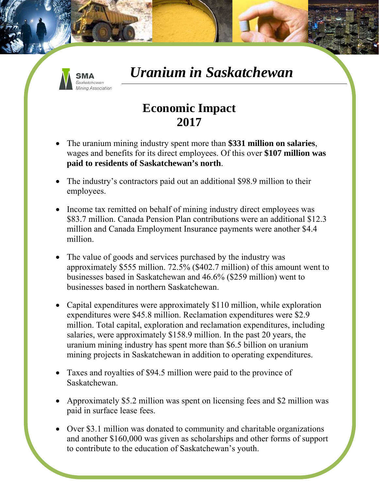

### **Economic Impact 2017**

- The uranium mining industry spent more than **\$331 million on salaries**, wages and benefits for its direct employees. Of this over **\$107 million was paid to residents of Saskatchewan's north**.
- The industry's contractors paid out an additional \$98.9 million to their employees.
- Income tax remitted on behalf of mining industry direct employees was \$83.7 million. Canada Pension Plan contributions were an additional \$12.3 million and Canada Employment Insurance payments were another \$4.4 million.
- The value of goods and services purchased by the industry was approximately \$555 million. 72.5% (\$402.7 million) of this amount went to businesses based in Saskatchewan and 46.6% (\$259 million) went to businesses based in northern Saskatchewan.
- Capital expenditures were approximately \$110 million, while exploration expenditures were \$45.8 million. Reclamation expenditures were \$2.9 million. Total capital, exploration and reclamation expenditures, including salaries, were approximately \$158.9 million. In the past 20 years, the uranium mining industry has spent more than \$6.5 billion on uranium mining projects in Saskatchewan in addition to operating expenditures.
- Taxes and royalties of \$94.5 million were paid to the province of Saskatchewan.
- Approximately \$5.2 million was spent on licensing fees and \$2 million was paid in surface lease fees.
- Over \$3.1 million was donated to community and charitable organizations and another \$160,000 was given as scholarships and other forms of support to contribute to the education of Saskatchewan's youth.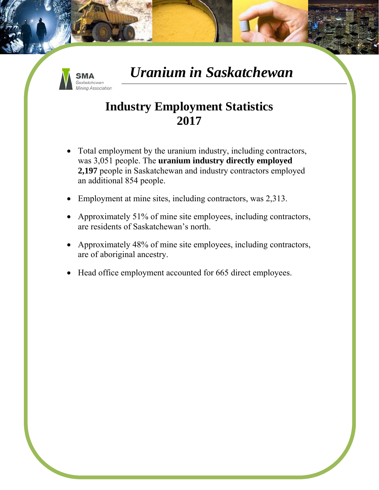

### **Industry Employment Statistics 2017**

- Total employment by the uranium industry, including contractors, was 3,051 people. The **uranium industry directly employed 2,197** people in Saskatchewan and industry contractors employed an additional 854 people.
- Employment at mine sites, including contractors, was 2,313.
- Approximately 51% of mine site employees, including contractors, are residents of Saskatchewan's north.
- Approximately 48% of mine site employees, including contractors, are of aboriginal ancestry.
- Head office employment accounted for 665 direct employees.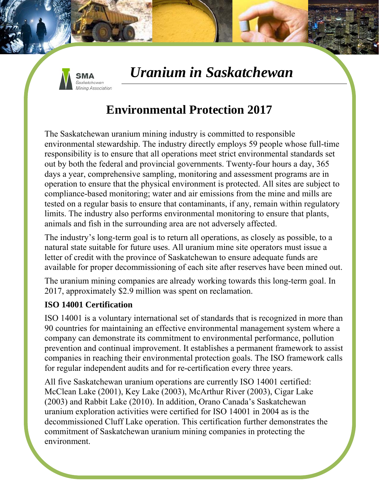

### **Environmental Protection 2017**

The Saskatchewan uranium mining industry is committed to responsible environmental stewardship. The industry directly employs 59 people whose full-time responsibility is to ensure that all operations meet strict environmental standards set out by both the federal and provincial governments. Twenty-four hours a day, 365 days a year, comprehensive sampling, monitoring and assessment programs are in operation to ensure that the physical environment is protected. All sites are subject to compliance-based monitoring; water and air emissions from the mine and mills are tested on a regular basis to ensure that contaminants, if any, remain within regulatory limits. The industry also performs environmental monitoring to ensure that plants, animals and fish in the surrounding area are not adversely affected.

The industry's long-term goal is to return all operations, as closely as possible, to a natural state suitable for future uses. All uranium mine site operators must issue a letter of credit with the province of Saskatchewan to ensure adequate funds are available for proper decommissioning of each site after reserves have been mined out.

The uranium mining companies are already working towards this long-term goal. In 2017, approximately \$2.9 million was spent on reclamation.

#### **ISO 14001 Certification**

ISO 14001 is a voluntary international set of standards that is recognized in more than 90 countries for maintaining an effective environmental management system where a company can demonstrate its commitment to environmental performance, pollution prevention and continual improvement. It establishes a permanent framework to assist companies in reaching their environmental protection goals. The ISO framework calls for regular independent audits and for re-certification every three years.

All five Saskatchewan uranium operations are currently ISO 14001 certified: McClean Lake (2001), Key Lake (2003), McArthur River (2003), Cigar Lake (2003) and Rabbit Lake (2010). In addition, Orano Canada's Saskatchewan uranium exploration activities were certified for ISO 14001 in 2004 as is the decommissioned Cluff Lake operation. This certification further demonstrates the commitment of Saskatchewan uranium mining companies in protecting the environment.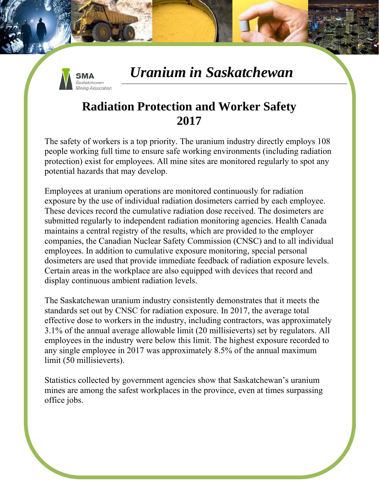

### **Radiation Protection and Worker Safety 2017**

The safety of workers is a top priority. The uranium industry directly employs 108 people working full time to ensure safe working environments (including radiation protection) exist for employees. All mine sites are monitored regularly to spot any potential hazards that may develop.

Employees at uranium operations are monitored continuously for radiation exposure by the use of individual radiation dosimeters carried by each employee. These devices record the cumulative radiation dose received. The dosimeters are submitted regularly to independent radiation monitoring agencies. Health Canada maintains a central registry of the results, which are provided to the employer companies, the Canadian Nuclear Safety Commission (CNSC) and to all individual employees. In addition to cumulative exposure monitoring, special personal dosimeters are used that provide immediate feedback of radiation exposure levels. Certain areas in the workplace are also equipped with devices that record and display continuous ambient radiation levels.

The Saskatchewan uranium industry consistently demonstrates that it meets the standards set out by CNSC for radiation exposure. In 2017, the average total effective dose to workers in the industry, including contractors, was approximately 3.1% of the annual average allowable limit (20 millisieverts) set by regulators. All employees in the industry were below this limit. The highest exposure recorded to any single employee in 2017 was approximately 8.5% of the annual maximum limit (50 millisieverts).

Statistics collected by government agencies show that Saskatchewan's uranium mines are among the safest workplaces in the province, even at times surpassing office jobs.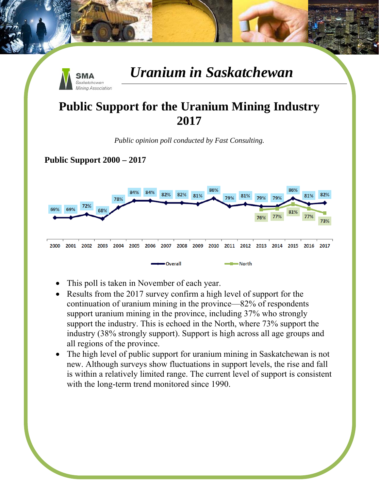

#### **Public Support for the Uranium Mining Industry 2017**

*Public opinion poll conducted by Fast Consulting.* 

**Public Support 2000 – 2017** 



- This poll is taken in November of each year.
- Results from the 2017 survey confirm a high level of support for the continuation of uranium mining in the province—82% of respondents support uranium mining in the province, including 37% who strongly support the industry. This is echoed in the North, where 73% support the industry (38% strongly support). Support is high across all age groups and all regions of the province.
- The high level of public support for uranium mining in Saskatchewan is not new. Although surveys show fluctuations in support levels, the rise and fall is within a relatively limited range. The current level of support is consistent with the long-term trend monitored since 1990.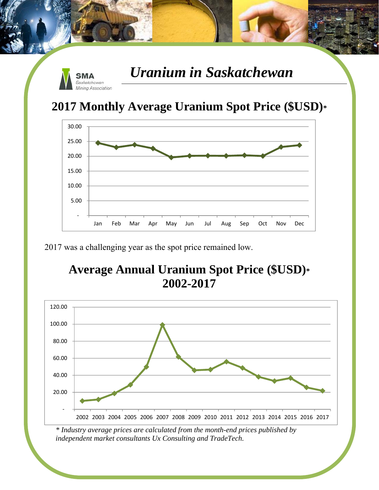

### **2017 Monthly Average Uranium Spot Price (\$USD)\***



2017 was a challenging year as the spot price remained low.

### **Average Annual Uranium Spot Price (\$USD)\* 2002-2017**



*<sup>\*</sup> Industry average prices are calculated from the month-end prices published by independent market consultants Ux Consulting and TradeTech.*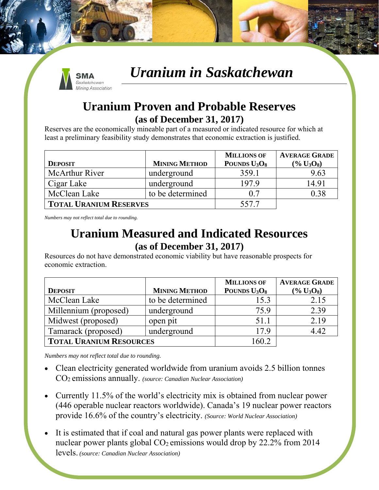

#### **Uranium Proven and Probable Reserves (as of December 31, 2017)**

Reserves are the economically mineable part of a measured or indicated resource for which at least a preliminary feasibility study demonstrates that economic extraction is justified.

|                               |                      | <b>MILLIONS OF</b> | <b>AVERAGE GRADE</b> |
|-------------------------------|----------------------|--------------------|----------------------|
| <b>DEPOSIT</b>                | <b>MINING METHOD</b> | POUNDS $U_3O_8$    | $(\% U_3O_8)$        |
| McArthur River                | underground          | 359.1              | 9.63                 |
| Cigar Lake                    | underground          | 197.9              | 14.91                |
| McClean Lake                  | to be determined     | 0.7                | 0.38                 |
| <b>TOTAL URANIUM RESERVES</b> |                      | 557.7              |                      |

*Numbers may not reflect total due to rounding.* 

#### **Uranium Measured and Indicated Resources (as of December 31, 2017)**

Resources do not have demonstrated economic viability but have reasonable prospects for economic extraction.

|                                |                      | <b>MILLIONS OF</b>                   | <b>AVERAGE GRADE</b> |
|--------------------------------|----------------------|--------------------------------------|----------------------|
| <b>DEPOSIT</b>                 | <b>MINING METHOD</b> | POUNDS U <sub>3</sub> O <sub>8</sub> | $(\% U_3O_8)$        |
| McClean Lake                   | to be determined     | 15.3                                 | 2.15                 |
| Millennium (proposed)          | underground          | 75.9                                 | 2.39                 |
| Midwest (proposed)             | open pit             | 51.1                                 | 2.19                 |
| Tamarack (proposed)            | underground          | 17.9                                 | 4.42                 |
| <b>TOTAL URANIUM RESOURCES</b> |                      | 160.2                                |                      |

*Numbers may not reflect total due to rounding.* 

- Clean electricity generated worldwide from uranium avoids 2.5 billion tonnes CO2 emissions annually. *(source: Canadian Nuclear Association)*
- Currently 11.5% of the world's electricity mix is obtained from nuclear power (446 operable nuclear reactors worldwide). Canada's 19 nuclear power reactors provide 16.6% of the country's electricity. *(Source: World Nuclear Association)*
- It is estimated that if coal and natural gas power plants were replaced with nuclear power plants global  $CO<sub>2</sub>$  emissions would drop by 22.2% from 2014 levels. *(source: Canadian Nuclear Association)*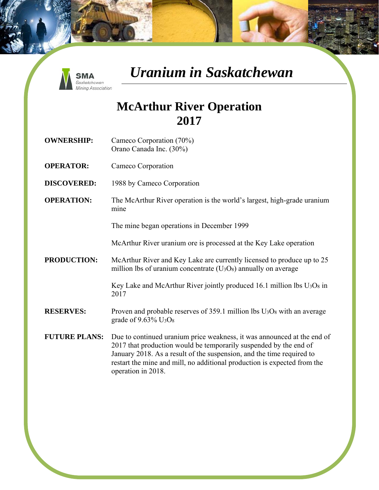

#### **McArthur River Operation 2017**

- **OWNERSHIP:** Cameco Corporation (70%) Orano Canada Inc. (30%)
- **OPERATOR:** Cameco Corporation
- **DISCOVERED:** 1988 by Cameco Corporation
- **OPERATION:** The McArthur River operation is the world's largest, high-grade uranium mine

The mine began operations in December 1999

McArthur River uranium ore is processed at the Key Lake operation

**PRODUCTION:** McArthur River and Key Lake are currently licensed to produce up to 25 million lbs of uranium concentrate  $(U_3O_8)$  annually on average

> Key Lake and McArthur River jointly produced 16.1 million lbs  $U_3O_8$  in 2017

- **RESERVES:** Proven and probable reserves of 359.1 million lbs U<sub>3</sub>O<sub>8</sub> with an average grade of  $9.63\%$  U<sub>3</sub>O<sub>8</sub>
- **FUTURE PLANS:** Due to continued uranium price weakness, it was announced at the end of 2017 that production would be temporarily suspended by the end of January 2018. As a result of the suspension, and the time required to restart the mine and mill, no additional production is expected from the operation in 2018.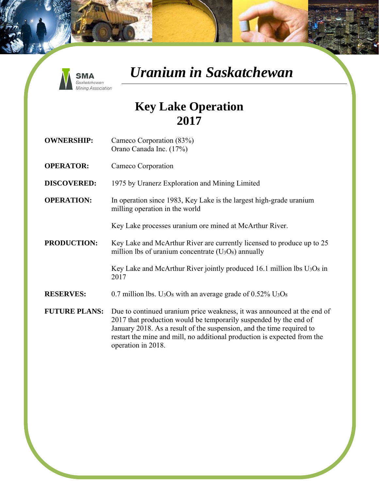

#### **Key Lake Operation 2017**

- **OWNERSHIP:** Cameco Corporation (83%) Orano Canada Inc. (17%)
- **OPERATOR:** Cameco Corporation
- **DISCOVERED:** 1975 by Uranerz Exploration and Mining Limited
- **OPERATION:** In operation since 1983, Key Lake is the largest high-grade uranium milling operation in the world

Key Lake processes uranium ore mined at McArthur River.

**PRODUCTION:** Key Lake and McArthur River are currently licensed to produce up to 25 million lbs of uranium concentrate  $(U_3O_8)$  annually

> Key Lake and McArthur River jointly produced 16.1 million lbs  $U_3O_8$  in 2017

- **RESERVES:** 0.7 million lbs. U<sub>3</sub>O<sub>8</sub> with an average grade of 0.52% U<sub>3</sub>O<sub>8</sub>
- **FUTURE PLANS:** Due to continued uranium price weakness, it was announced at the end of 2017 that production would be temporarily suspended by the end of January 2018. As a result of the suspension, and the time required to restart the mine and mill, no additional production is expected from the operation in 2018.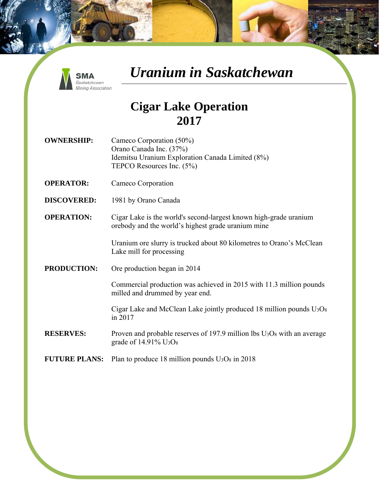

#### **Cigar Lake Operation 2017**

- **OWNERSHIP:** Cameco Corporation (50%) Orano Canada Inc. (37%) Idemitsu Uranium Exploration Canada Limited (8%) TEPCO Resources Inc. (5%)
- **OPERATOR:** Cameco Corporation
- **DISCOVERED:** 1981 by Orano Canada
- **OPERATION:** Cigar Lake is the world's second-largest known high-grade uranium orebody and the world's highest grade uranium mine

Uranium ore slurry is trucked about 80 kilometres to Orano's McClean Lake mill for processing

**PRODUCTION:** Ore production began in 2014

Commercial production was achieved in 2015 with 11.3 million pounds milled and drummed by year end.

Cigar Lake and McClean Lake jointly produced 18 million pounds  $U_3O_8$ in 2017

- **RESERVES:** Proven and probable reserves of 197.9 million lbs U<sub>3</sub>O<sub>8</sub> with an average grade of 14.91% U3O8
- **FUTURE PLANS:** Plan to produce 18 million pounds  $U_3O_8$  in 2018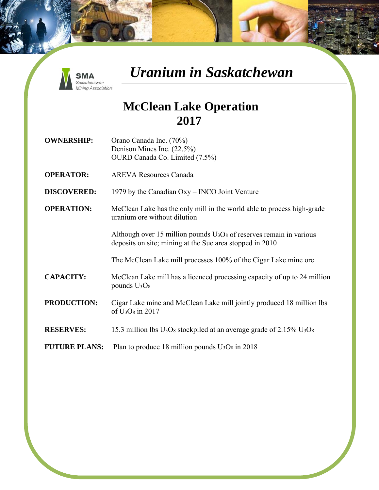

#### **McClean Lake Operation 2017**

**OWNERSHIP:** Orano Canada Inc. (70%) Denison Mines Inc. (22.5%) OURD Canada Co. Limited (7.5%)

**OPERATOR:** AREVA Resources Canada

**DISCOVERED:** 1979 by the Canadian Oxy – INCO Joint Venture

**OPERATION:** McClean Lake has the only mill in the world able to process high-grade uranium ore without dilution

> Although over 15 million pounds  $U_3O_8$  of reserves remain in various deposits on site; mining at the Sue area stopped in 2010

> The McClean Lake mill processes 100% of the Cigar Lake mine ore

- **CAPACITY:** McClean Lake mill has a licenced processing capacity of up to 24 million pounds U3O8
- **PRODUCTION:** Cigar Lake mine and McClean Lake mill jointly produced 18 million lbs of U3O8 in 2017

#### **RESERVES:** 15.3 million lbs U<sub>3</sub>O<sub>8</sub> stockpiled at an average grade of 2.15% U<sub>3</sub>O<sub>8</sub>

**FUTURE PLANS:** Plan to produce 18 million pounds  $U_3O_8$  in 2018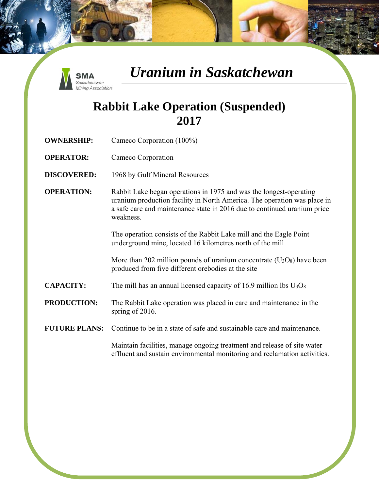

### **Rabbit Lake Operation (Suspended) 2017**

- **OWNERSHIP:** Cameco Corporation (100%)
- **OPERATOR:** Cameco Corporation
- **DISCOVERED:** 1968 by Gulf Mineral Resources
- **OPERATION:** Rabbit Lake began operations in 1975 and was the longest-operating uranium production facility in North America. The operation was place in a safe care and maintenance state in 2016 due to continued uranium price weakness.

The operation consists of the Rabbit Lake mill and the Eagle Point underground mine, located 16 kilometres north of the mill

More than 202 million pounds of uranium concentrate  $(U_3O_8)$  have been produced from five different orebodies at the site

- **CAPACITY:** The mill has an annual licensed capacity of 16.9 million lbs U<sub>3</sub>O<sub>8</sub>
- **PRODUCTION:** The Rabbit Lake operation was placed in care and maintenance in the spring of 2016.

#### **FUTURE PLANS:** Continue to be in a state of safe and sustainable care and maintenance

Maintain facilities, manage ongoing treatment and release of site water effluent and sustain environmental monitoring and reclamation activities.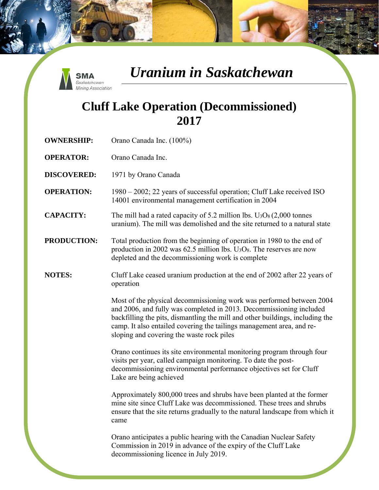

### **Cluff Lake Operation (Decommissioned) 2017**

| <b>OWNERSHIP:</b>  | Orano Canada Inc. (100%)                                                                                                                                                                                                                                                                                                                           |
|--------------------|----------------------------------------------------------------------------------------------------------------------------------------------------------------------------------------------------------------------------------------------------------------------------------------------------------------------------------------------------|
| <b>OPERATOR:</b>   | Orano Canada Inc.                                                                                                                                                                                                                                                                                                                                  |
| <b>DISCOVERED:</b> | 1971 by Orano Canada                                                                                                                                                                                                                                                                                                                               |
| <b>OPERATION:</b>  | 1980 – 2002; 22 years of successful operation; Cluff Lake received ISO<br>14001 environmental management certification in 2004                                                                                                                                                                                                                     |
| <b>CAPACITY:</b>   | The mill had a rated capacity of 5.2 million lbs. $U_3O_8(2,000)$ tonnes<br>uranium). The mill was demolished and the site returned to a natural state                                                                                                                                                                                             |
| <b>PRODUCTION:</b> | Total production from the beginning of operation in 1980 to the end of<br>production in 2002 was 62.5 million lbs. $U_3O_8$ . The reserves are now<br>depleted and the decommissioning work is complete                                                                                                                                            |
| <b>NOTES:</b>      | Cluff Lake ceased uranium production at the end of 2002 after 22 years of<br>operation                                                                                                                                                                                                                                                             |
|                    | Most of the physical decommissioning work was performed between 2004<br>and 2006, and fully was completed in 2013. Decommissioning included<br>backfilling the pits, dismantling the mill and other buildings, including the<br>camp. It also entailed covering the tailings management area, and re-<br>sloping and covering the waste rock piles |
|                    | Orano continues its site environmental monitoring program through four<br>visits per year, called campaign monitoring. To date the post-<br>decommissioning environmental performance objectives set for Cluff<br>Lake are being achieved                                                                                                          |
|                    | Approximately 800,000 trees and shrubs have been planted at the former<br>mine site since Cluff Lake was decommissioned. These trees and shrubs<br>ensure that the site returns gradually to the natural landscape from which it<br>came                                                                                                           |
|                    | Orano anticipates a public hearing with the Canadian Nuclear Safety<br>Commission in 2019 in advance of the expiry of the Cluff Lake<br>decommissioning licence in July 2019.                                                                                                                                                                      |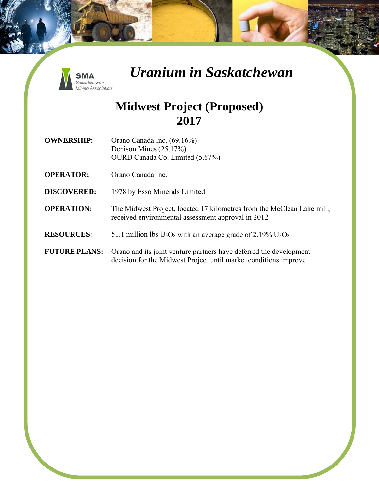

#### **Midwest Project (Proposed) 2017**

- **OWNERSHIP:** Orano Canada Inc. (69.16%) Denison Mines (25.17%) OURD Canada Co. Limited (5.67%)
- **OPERATOR:** Orano Canada Inc.
- **DISCOVERED:** 1978 by Esso Minerals Limited
- **OPERATION:** The Midwest Project, located 17 kilometres from the McClean Lake mill, received environmental assessment approval in 2012
- **RESOURCES:** 51.1 million lbs U3O8 with an average grade of 2.19% U3O8
- **FUTURE PLANS:** Orano and its joint venture partners have deferred the development decision for the Midwest Project until market conditions improve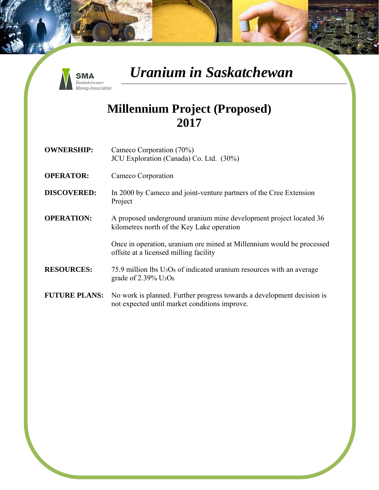

#### **Millennium Project (Proposed) 2017**

- **OWNERSHIP:** Cameco Corporation (70%) JCU Exploration (Canada) Co. Ltd. (30%)
- **OPERATOR:** Cameco Corporation
- **DISCOVERED:** In 2000 by Cameco and joint-venture partners of the Cree Extension Project

#### **OPERATION:** A proposed underground uranium mine development project located 36 kilometres north of the Key Lake operation

Once in operation, uranium ore mined at Millennium would be processed offsite at a licensed milling facility

#### **RESOURCES:**  $75.9$  million lbs  $U_3O_8$  of indicated uranium resources with an average grade of  $2.39\%$  U<sub>3</sub>O<sub>8</sub>

**FUTURE PLANS:** No work is planned. Further progress towards a development decision is not expected until market conditions improve.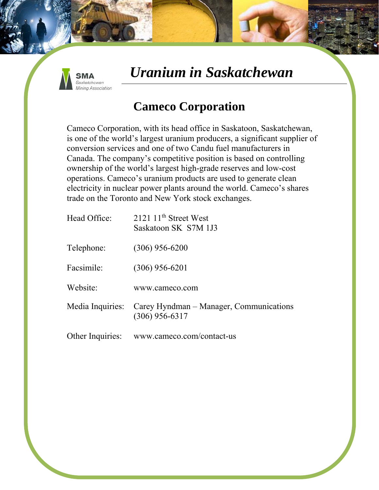

### **Cameco Corporation**

Cameco Corporation, with its head office in Saskatoon, Saskatchewan, is one of the world's largest uranium producers, a significant supplier of conversion services and one of two Candu fuel manufacturers in Canada. The company's competitive position is based on controlling ownership of the world's largest high-grade reserves and low-cost operations. Cameco's uranium products are used to generate clean electricity in nuclear power plants around the world. Cameco's shares trade on the Toronto and New York stock exchanges.

| Head Office: | 2121 11 <sup>th</sup> Street West<br>Saskatoon SK S7M 1J3                    |
|--------------|------------------------------------------------------------------------------|
| Telephone:   | $(306)$ 956-6200                                                             |
| Facsimile:   | $(306)$ 956-6201                                                             |
| Website:     | www.cameco.com                                                               |
|              | Media Inquiries: Carey Hyndman – Manager, Communications<br>$(306)$ 956-6317 |
|              | Other Inquiries: www.cameco.com/contact-us                                   |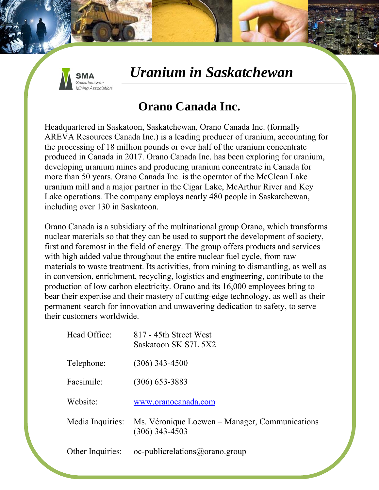

### **Orano Canada Inc.**

Headquartered in Saskatoon, Saskatchewan, Orano Canada Inc. (formally AREVA Resources Canada Inc.) is a leading producer of uranium, accounting for the processing of 18 million pounds or over half of the uranium concentrate produced in Canada in 2017. Orano Canada Inc. has been exploring for uranium, developing uranium mines and producing uranium concentrate in Canada for more than 50 years. Orano Canada Inc. is the operator of the McClean Lake uranium mill and a major partner in the Cigar Lake, McArthur River and Key Lake operations. The company employs nearly 480 people in Saskatchewan, including over 130 in Saskatoon.

Orano Canada is a subsidiary of the multinational group Orano, which transforms nuclear materials so that they can be used to support the development of society, first and foremost in the field of energy. The group offers products and services with high added value throughout the entire nuclear fuel cycle, from raw materials to waste treatment. Its activities, from mining to dismantling, as well as in conversion, enrichment, recycling, logistics and engineering, contribute to the production of low carbon electricity. Orano and its 16,000 employees bring to bear their expertise and their mastery of cutting-edge technology, as well as their permanent search for innovation and unwavering dedication to safety, to serve their customers worldwide.

| Head Office:     | 817 - 45th Street West<br>Saskatoon SK S7L 5X2                                      |
|------------------|-------------------------------------------------------------------------------------|
| Telephone:       | $(306)$ 343-4500                                                                    |
| Facsimile:       | $(306)$ 653-3883                                                                    |
| Website:         | www.oranocanada.com                                                                 |
|                  | Media Inquiries: Ms. Véronique Loewen – Manager, Communications<br>$(306)$ 343-4503 |
| Other Inquiries: | oc-public relations@orano.group                                                     |